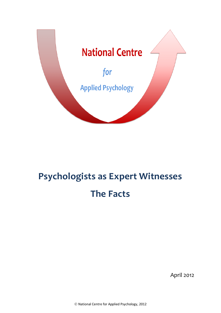

# **Psychologists as Expert Witnesses The Facts**

April 2012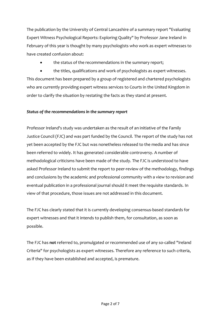The publication by the University of Central Lancashire of a summary report "Evaluating Expert Witness Psychological Reports: Exploring Quality" by Professor Jane Ireland in February of this year is thought by many psychologists who work as expert witnesses to have created confusion about:

- the status of the recommendations in the summary report;
- the titles, qualifications and work of psychologists as expert witnesses.

This document has been prepared by a group of registered and chartered psychologists who are currently providing expert witness services to Courts in the United Kingdom in order to clarify the situation by restating the facts as they stand at present.

## *Status of the recommendations in the summary report*

Professor Ireland's study was undertaken as the result of an initiative of the Family Justice Council (FJC) and was part funded by the Council. The report of the study has not yet been accepted by the FJC but was nonetheless released to the media and has since been referred to widely. It has generated considerable controversy. A number of methodological criticisms have been made of the study. The FJC is understood to have asked Professor Ireland to submit the report to peer-review of the methodology, findings and conclusions by the academic and professional community with a view to revision and eventual publication in a professional journal should it meet the requisite standards. In view of that procedure, those issues are not addressed in this document.

The FJC has clearly stated that it is currently developing consensus-based standards for expert witnesses and that it intends to publish them, for consultation, as soon as possible.

The FJC has **not** referred to, promulgated or recommended use of any so-called "Ireland Criteria" for psychologists as expert witnesses. Therefore any reference to such criteria, as if they have been established and accepted, is premature.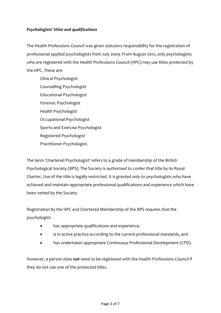## *Psychologists' titles and qualifications*

The Health Professions Council was given statutory responsibility for the registration of professional applied psychologists from July 2009. From August 2012, only psychologists who are registered with the Health Professions Council (HPC) may use titles protected by the HPC. These are:

Clinical Psychologist Counselling Psychologist Educational Psychologist Forensic Psychologist Health Psychologist Occupational Psychologist Sports and Exercise Psychologist Registered Psychologist Practitioner Psychologist.

The term 'Chartered Psychologist' refers to a grade of membership of the British Psychological Society (BPS). The Society is authorised to confer that title by its Royal Charter. Use of the title is legally restricted. It is granted only to psychologists who have achieved and maintain appropriate professional qualifications and experience which have been vetted by the Society.

Registration by the HPC and Chartered Membership of the BPS requires that the psychologist:

- has appropriate qualifications and experience,
- is in active practice according to the current professional standards, and
- has undertaken appropriate Continuous Professional Development (CPD).

However, a person does **not** need to be registered with the Health Professions Council if they do not use one of the protected titles.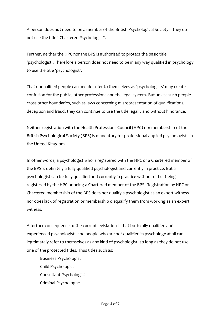A person does **not** need to be a member of the British Psychological Society if they do not use the title "Chartered Psychologist".

Further, neither the HPC nor the BPS is authorised to protect the basic title 'psychologist'. Therefore a person does not need to be in any way qualified in psychology to use the title 'psychologist'.

That unqualified people can and do refer to themselves as 'psychologists' may create confusion for the public, other professions and the legal system. But unless such people cross other boundaries, such as laws concerning misrepresentation of qualifications, deception and fraud, they can continue to use the title legally and without hindrance.

Neither registration with the Health Professions Council (HPC) nor membership of the British Psychological Society (BPS) is mandatory for professional applied psychologists in the United Kingdom.

In other words, a psychologist who is registered with the HPC or a Chartered member of the BPS is definitely a fully qualified psychologist and currently in practice. But a psychologist can be fully qualified and currently in practice without either being registered by the HPC or being a Chartered member of the BPS. Registration by HPC or Chartered membership of the BPS does not qualify a psychologist as an expert witness nor does lack of registration or membership disqualify them from working as an expert witness.

A further consequence of the current legislation is that both fully qualified and experienced psychologists and people who are not qualified in psychology at all can legitimately refer to themselves as any kind of psychologist, so long as they do not use one of the protected titles. Thus titles such as:

Business Psychologist Child Psychologist Consultant Psychologist Criminal Psychologist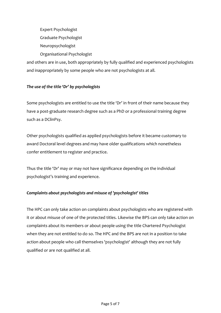Expert Psychologist Graduate Psychologist Neuropsychologist Organisational Psychologist

and others are in use, both appropriately by fully qualified and experienced psychologists and inappropriately by some people who are not psychologists at all.

## *The use of the title 'Dr' by psychologists*

Some psychologists are entitled to use the title 'Dr' in front of their name because they have a post-graduate research degree such as a PhD or a professional training degree such as a DClinPsy.

Other psychologists qualified as applied psychologists before it became customary to award Doctoral level degrees and may have older qualifications which nonetheless confer entitlement to register and practice.

Thus the title 'Dr' may or may not have significance depending on the individual psychologist's training and experience.

#### *Complaints about psychologists and misuse of 'psychologist' titles*

The HPC can only take action on complaints about psychologists who are registered with it or about misuse of one of the protected titles. Likewise the BPS can only take action on complaints about its members or about people using the title Chartered Psychologist when they are not entitled to do so. The HPC and the BPS are not in a position to take action about people who call themselves 'psychologist' although they are not fully qualified or are not qualified at all.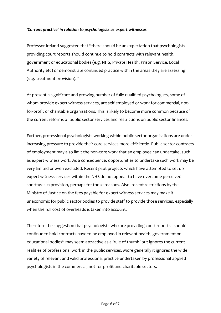#### *'Current practice' in relation to psychologists as expert witnesses*

Professor Ireland suggested that "there should be an expectation that psychologists providing court reports should continue to hold contracts with relevant health, government or educational bodies (e.g. NHS, Private Health, Prison Service, Local Authority etc) or demonstrate continued practice within the areas they are assessing (e.g. treatment provision)."

At present a significant and growing number of fully qualified psychologists, some of whom provide expert witness services, are self employed or work for commercial, notfor-profit or charitable organisations. This is likely to become more common because of the current reforms of public sector services and restrictions on public sector finances.

Further, professional psychologists working within public sector organisations are under increasing pressure to provide their core services more efficiently. Public sector contracts of employment may also limit the non-core work that an employee can undertake, such as expert witness work. As a consequence, opportunities to undertake such work may be very limited or even excluded. Recent pilot projects which have attempted to set up expert witness services within the NHS do not appear to have overcome perceived shortages in provision, perhaps for those reasons. Also, recent restrictions by the Ministry of Justice on the fees payable for expert witness services may make it uneconomic for public sector bodies to provide staff to provide those services, especially when the full cost of overheads is taken into account.

Therefore the suggestion that psychologists who are providing court reports "should continue to hold contracts have to be employed in relevant health, government or educational bodies" may seem attractive as a 'rule of thumb' but ignores the current realities of professional work in the public services. More generally it ignores the wide variety of relevant and valid professional practice undertaken by professional applied psychologists in the commercial, not-for-profit and charitable sectors.